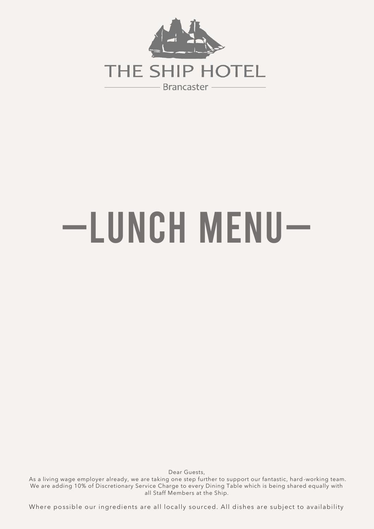

# —Lunch Menu—

Dear Guests, As a living wage employer already, we are taking one step further to support our fantastic, hard -working team. We are adding 10% of Discretionary Service Charge to every Dining Table which is being shared equally with all Staff Members at the Ship.

Where possible our ingredients are all locally sourced. All dishes are subject to availability